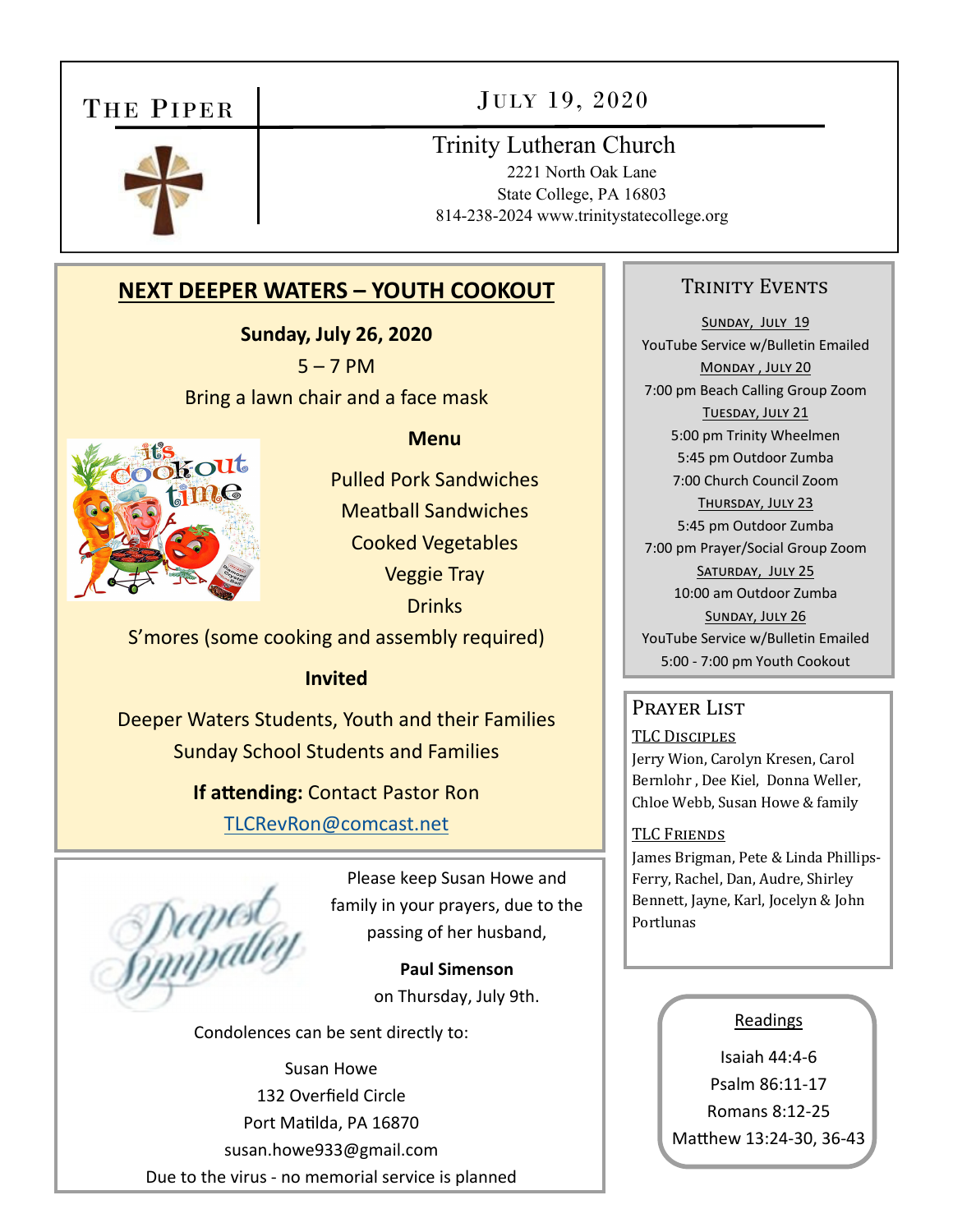# THE PIPER

# JULY 19, 2020



# Trinity Lutheran Church

2221 North Oak Lane State College, PA 16803 814-238-2024 www.trinitystatecollege.org

# **NEXT DEEPER WATERS – YOUTH COOKOUT**

**Sunday, July 26, 2020**   $5 - 7$  PM Bring a lawn chair and a face mask



**Menu** 

Pulled Pork Sandwiches Meatball Sandwiches Cooked Vegetables Veggie Tray **Drinks** 

S'mores (some cooking and assembly required)

### **Invited**

Deeper Waters Students, Youth and their Families Sunday School Students and Families

> **If attending: Contact Pastor Ron** TLCRevRon@comcast.net

Deepest<br>Gmypath

Please keep Susan Howe and family in your prayers, due to the passing of her husband,

> **Paul Simenson**  on Thursday, July 9th.

Condolences can be sent directly to:

Susan Howe 132 Overfield Circle Port Matilda, PA 16870 susan.howe933@gmail.com Due to the virus ‐ no memorial service is planned

### TRINITY EVENTS

SUNDAY, JULY 19 YouTube Service w/Bulletin Emailed MONDAY, JULY 20 7:00 pm Beach Calling Group Zoom TUESDAY, JULY 21 5:00 pm Trinity Wheelmen 5:45 pm Outdoor Zumba 7:00 Church Council Zoom THURSDAY, JULY 23 5:45 pm Outdoor Zumba 7:00 pm Prayer/Social Group Zoom SATURDAY, JULY 25 10:00 am Outdoor Zumba SUNDAY, JULY 26 YouTube Service w/Bulletin Emailed 5:00 ‐ 7:00 pm Youth Cookout

### PRAYER LIST

TLC DISCIPLES Jerry Wion, Carolyn Kresen, Carol Bernlohr , Dee Kiel, Donna Weller, Chloe Webb, Susan Howe & family

#### TLC FRIENDS

James Brigman, Pete & Linda Phillips-Ferry, Rachel, Dan, Audre, Shirley Bennett, Jayne, Karl, Jocelyn & John Portlunas

#### Readings

Isaiah 44:4‐6 Psalm 86:11‐17 Romans 8:12‐25 Matthew 13:24-30, 36-43